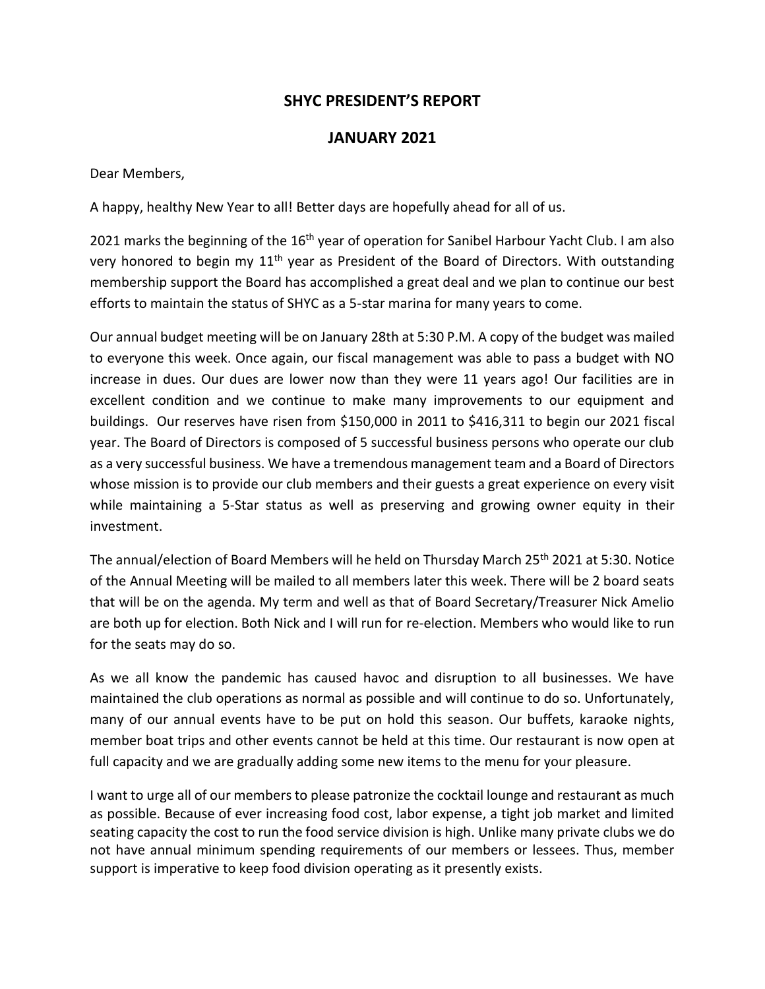# **SHYC PRESIDENT'S REPORT**

## **JANUARY 2021**

Dear Members,

A happy, healthy New Year to all! Better days are hopefully ahead for all of us.

2021 marks the beginning of the 16<sup>th</sup> year of operation for Sanibel Harbour Yacht Club. I am also very honored to begin my 11<sup>th</sup> year as President of the Board of Directors. With outstanding membership support the Board has accomplished a great deal and we plan to continue our best efforts to maintain the status of SHYC as a 5-star marina for many years to come.

Our annual budget meeting will be on January 28th at 5:30 P.M. A copy of the budget was mailed to everyone this week. Once again, our fiscal management was able to pass a budget with NO increase in dues. Our dues are lower now than they were 11 years ago! Our facilities are in excellent condition and we continue to make many improvements to our equipment and buildings. Our reserves have risen from \$150,000 in 2011 to \$416,311 to begin our 2021 fiscal year. The Board of Directors is composed of 5 successful business persons who operate our club as a very successful business. We have a tremendous management team and a Board of Directors whose mission is to provide our club members and their guests a great experience on every visit while maintaining a 5-Star status as well as preserving and growing owner equity in their investment.

The annual/election of Board Members will he held on Thursday March 25th 2021 at 5:30. Notice of the Annual Meeting will be mailed to all members later this week. There will be 2 board seats that will be on the agenda. My term and well as that of Board Secretary/Treasurer Nick Amelio are both up for election. Both Nick and I will run for re-election. Members who would like to run for the seats may do so.

As we all know the pandemic has caused havoc and disruption to all businesses. We have maintained the club operations as normal as possible and will continue to do so. Unfortunately, many of our annual events have to be put on hold this season. Our buffets, karaoke nights, member boat trips and other events cannot be held at this time. Our restaurant is now open at full capacity and we are gradually adding some new items to the menu for your pleasure.

I want to urge all of our members to please patronize the cocktail lounge and restaurant as much as possible. Because of ever increasing food cost, labor expense, a tight job market and limited seating capacity the cost to run the food service division is high. Unlike many private clubs we do not have annual minimum spending requirements of our members or lessees. Thus, member support is imperative to keep food division operating as it presently exists.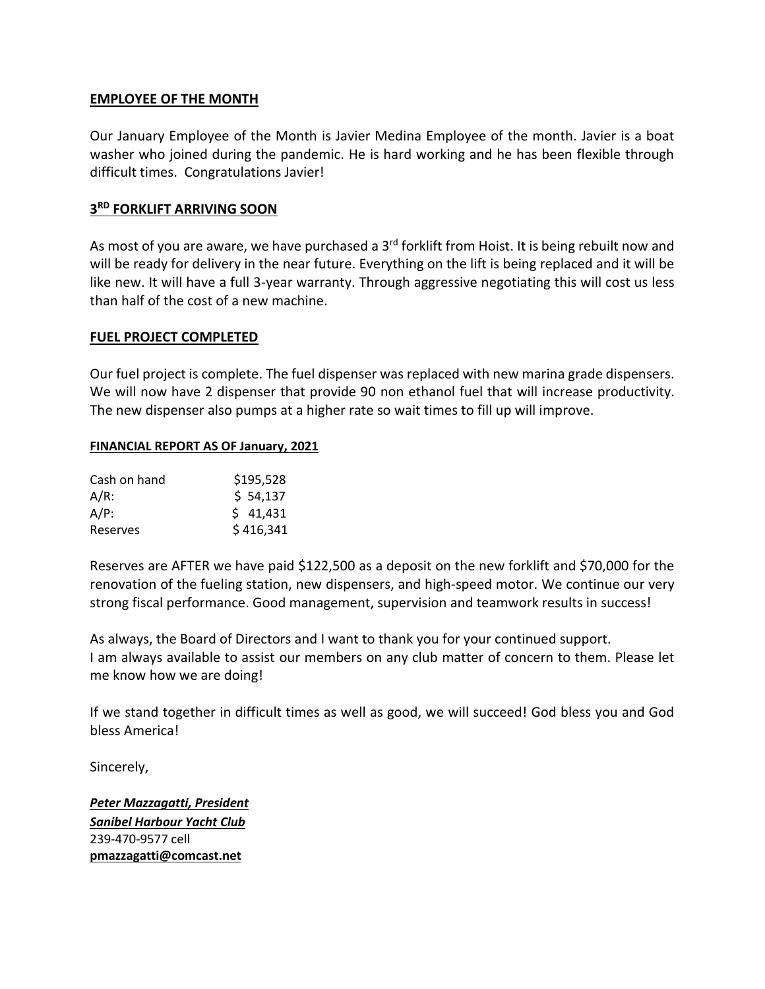### **EMPLOYEE OF THE MONTH**

Our January Employee of the Month is Javier Medina Employee of the month. Javier is a boat washer who joined during the pandemic. He is hard working and he has been flexible through difficult times. Congratulations Javier!

## **3 RD FORKLIFT ARRIVING SOON**

As most of you are aware, we have purchased a 3<sup>rd</sup> forklift from Hoist. It is being rebuilt now and will be ready for delivery in the near future. Everything on the lift is being replaced and it will be like new. It will have a full 3-year warranty. Through aggressive negotiating this will cost us less than half of the cost of a new machine.

#### **FUEL PROJECT COMPLETED**

Our fuel project is complete. The fuel dispenser was replaced with new marina grade dispensers. We will now have 2 dispenser that provide 90 non ethanol fuel that will increase productivity. The new dispenser also pumps at a higher rate so wait times to fill up will improve.

#### **FINANCIAL REPORT AS OF January, 2021**

| Cash on hand | \$195,528 |
|--------------|-----------|
| $A/R$ :      | \$54,137  |
| $A/P$ :      | \$41,431  |
| Reserves     | \$416,341 |

Reserves are AFTER we have paid \$122,500 as a deposit on the new forklift and \$70,000 for the renovation of the fueling station, new dispensers, and high-speed motor. We continue our very strong fiscal performance. Good management, supervision and teamwork results in success!

As always, the Board of Directors and I want to thank you for your continued support. I am always available to assist our members on any club matter of concern to them. Please let me know how we are doing!

If we stand together in difficult times as well as good, we will succeed! God bless you and God bless America!

Sincerely,

*Peter Mazzagatti, President Sanibel Harbour Yacht Club* 239-470-9577 cell **[pmazzagatti@comcast.net](mailto:pmazzagatti@comcast.net)**